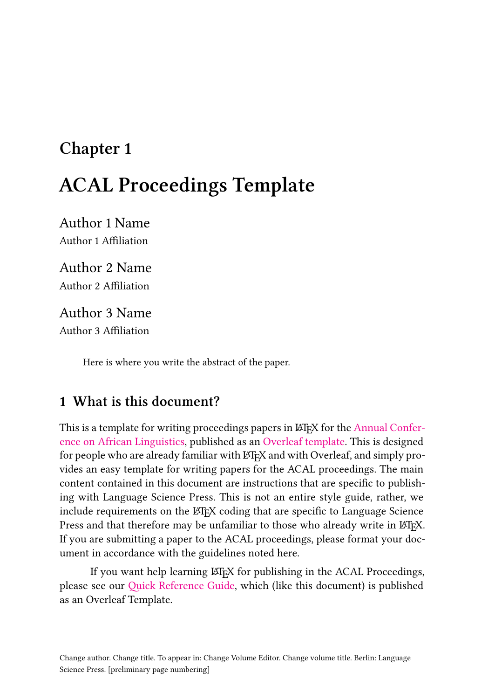# **Chapter 1 ACAL Proceedings Template**

Author 1 Name Author 1 Affiliation

Author 2 Name Author 2 Affiliation

Author 3 Name Author 3 Affiliation

Here is where you write the abstract of the paper.

# **1 What is this document?**

This is a template for writing proceedings papers in LATEX for the [Annual Confer](https://acal.linguistlist.org)[ence on African Linguistics,](https://acal.linguistlist.org) published as an [Overleaf template.](https://www.overleaf.com/latex/templates/acal-proceedings-template/kxmngmsjvfqq) This is designed for people who are already familiar with LATEX and with Overleaf, and simply provides an easy template for writing papers for the ACAL proceedings. The main content contained in this document are instructions that are specific to publishing with Language Science Press. This is not an entire style guide, rather, we include requirements on the LAT<sub>EX</sub> coding that are specific to Language Science Press and that therefore may be unfamiliar to those who already write in LATEX. If you are submitting a paper to the ACAL proceedings, please format your document in accordance with the guidelines noted here.

If you want help learning LAT<sub>EX</sub> for publishing in the ACAL Proceedings, please see our [Quick Reference Guide,](https://www.overleaf.com/latex/templates/acal-proceedings-latex-quick-reference-guide/fncrcrtgnxhv) which (like this document) is published as an Overleaf Template.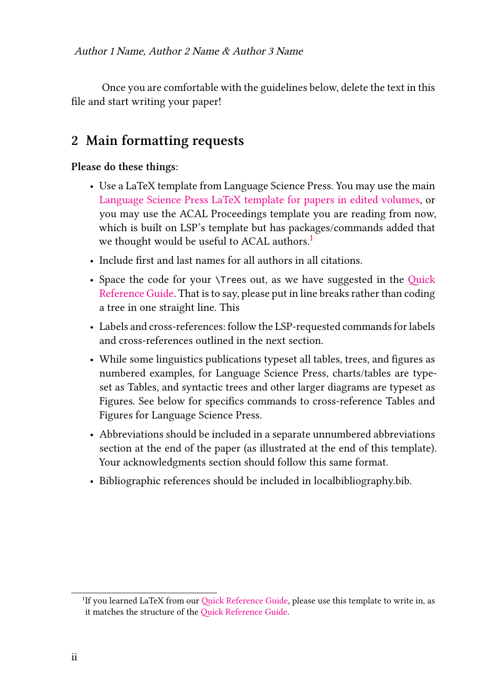Once you are comfortable with the guidelines below, delete the text in this file and start writing your paper!

## **2 Main formatting requests**

#### **Please do these things:**

- Use a LaTeX template from Language Science Press. You may use the main [Language Science Press LaTeX template for papers in edited volumes,](https://www.overleaf.com/latex/templates/langsci-template-for-papers-in-edited-volumes-2020-slash-05/cpjcmcphbvph) or you may use the ACAL Proceedings template you are reading from now, which is built on LSP's template but has packages/commands added that we thought would be useful to ACAL authors.<sup>[1](#page-1-0)</sup>
- Include first and last names for all authors in all citations.
- Space the code for your \Trees out, as we have suggested in the [Quick](https://www.overleaf.com/latex/templates/acal-proceedings-latex-quick-reference-guide/fncrcrtgnxhv) [Reference Guide](https://www.overleaf.com/latex/templates/acal-proceedings-latex-quick-reference-guide/fncrcrtgnxhv). That is to say, please put in line breaks rather than coding a tree in one straight line. This
- Labels and cross-references: follow the LSP-requested commands for labels and cross-references outlined in the next section.
- While some linguistics publications typeset all tables, trees, and figures as numbered examples, for Language Science Press, charts/tables are typeset as Tables, and syntactic trees and other larger diagrams are typeset as Figures. See below for specifics commands to cross-reference Tables and Figures for Language Science Press.
- Abbreviations should be included in a separate unnumbered abbreviations section at the end of the paper (as illustrated at the end of this template). Your acknowledgments section should follow this same format.
- Bibliographic references should be included in localbibliography.bib.

<span id="page-1-0"></span><sup>&</sup>lt;sup>1</sup>If you learned LaTeX from our [Quick Reference Guide,](https://www.overleaf.com/latex/templates/acal-proceedings-latex-quick-reference-guide/fncrcrtgnxhv) please use this template to write in, as it matches the structure of the [Quick Reference Guide.](https://www.overleaf.com/latex/templates/acal-proceedings-latex-quick-reference-guide/fncrcrtgnxhv)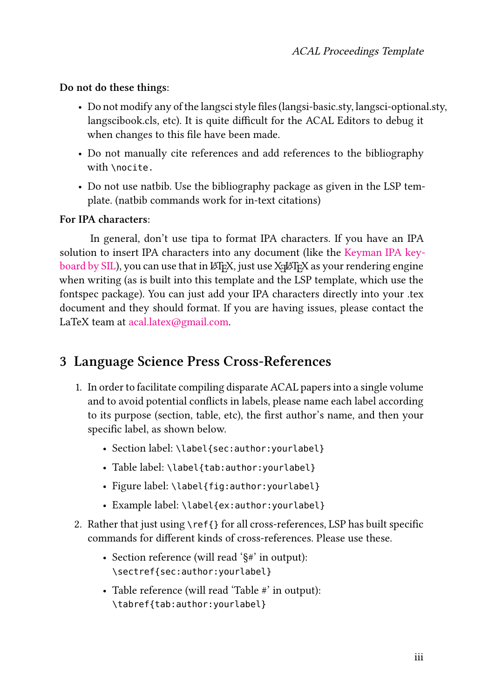#### **Do not do these things:**

- Do not modify any of the langsci style files (langsi-basic.sty, langsci-optional.sty, langscibook.cls, etc). It is quite difficult for the ACAL Editors to debug it when changes to this file have been made.
- Do not manually cite references and add references to the bibliography with \nocite.
- Do not use natbib. Use the bibliography package as given in the LSP template. (natbib commands work for in-text citations)

#### **For IPA characters:**

In general, don't use tipa to format IPA characters. If you have an IPA solution to insert IPA characters into any document (like the [Keyman IPA key](https://keyman.com/ipa/)[board by SIL\)](https://keyman.com/ipa/), you can use that in LAT<sub>EX</sub>, just use X<sub>T</sub>LAT<sub>EX</sub> as your rendering engine when writing (as is built into this template and the LSP template, which use the fontspec package). You can just add your IPA characters directly into your .tex document and they should format. If you are having issues, please contact the LaTeX team at [acal.latex@gmail.com.](mailto:acal.latex@gmail.com)

## **3 Language Science Press Cross-References**

- 1. In order to facilitate compiling disparate ACAL papers into a single volume and to avoid potential conflicts in labels, please name each label according to its purpose (section, table, etc), the first author's name, and then your specific label, as shown below.
	- Section label: \label{sec:author: yourlabel}
	- Table label: \label{tab:author: yourlabel}
	- Figure label: \label{fig:author: yourlabel}
	- Example label: \label{ex:author: yourlabel}
- 2. Rather that just using \ref{} for all cross-references, LSP has built specific commands for different kinds of cross-references. Please use these.
	- Section reference (will read '§#' in output): \sectref{sec:author:yourlabel}
	- Table reference (will read 'Table #' in output): \tabref{tab:author:yourlabel}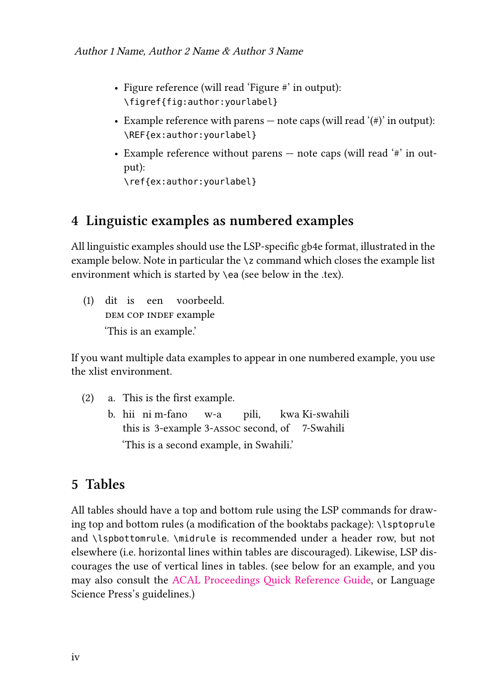- Figure reference (will read 'Figure #' in output): \figref{fig:author:yourlabel}
- Example reference with parens note caps (will read  $'(\#)'$  in output): \REF{ex:author:yourlabel}
- Example reference without parens  $-$  note caps (will read  $'$ #' in output):

\ref{ex:author:yourlabel}

## **4 Linguistic examples as numbered examples**

All linguistic examples should use the LSP-specific gb4e format, illustrated in the example below. Note in particular the \z command which closes the example list environment which is started by \ea (see below in the .tex).

(1) dit is een voorbeeld. DEM COP INDEF example 'This is an example.'

If you want multiple data examples to appear in one numbered example, you use the xlist environment.

- (2) a. This is the first example.
	- b. hii ni m-fano this is 3-example 3-assoc second, of 7-Swahili w-a pili, kwa Ki-swahili 'This is a second example, in Swahili.'

# **5 Tables**

All tables should have a top and bottom rule using the LSP commands for drawing top and bottom rules (a modification of the booktabs package): \lsptoprule and \lspbottomrule. \midrule is recommended under a header row, but not elsewhere (i.e. horizontal lines within tables are discouraged). Likewise, LSP discourages the use of vertical lines in tables. (see below for an example, and you may also consult the [ACAL Proceedings Quick Reference Guide](https://www.overleaf.com/latex/templates/acal-proceedings-latex-quick-reference-guide/fncrcrtgnxhv), or Language Science Press's guidelines.)